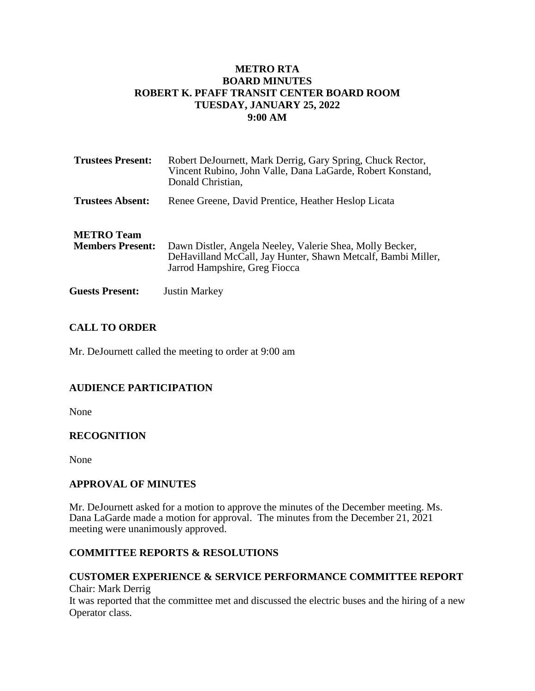### **METRO RTA BOARD MINUTES ROBERT K. PFAFF TRANSIT CENTER BOARD ROOM TUESDAY, JANUARY 25, 2022 9:00 AM**

| <b>Trustees Present:</b>                     | Robert DeJournett, Mark Derrig, Gary Spring, Chuck Rector,<br>Vincent Rubino, John Valle, Dana LaGarde, Robert Konstand,<br>Donald Christian,             |
|----------------------------------------------|-----------------------------------------------------------------------------------------------------------------------------------------------------------|
| <b>Trustees Absent:</b>                      | Renee Greene, David Prentice, Heather Heslop Licata                                                                                                       |
| <b>METRO</b> Team<br><b>Members Present:</b> | Dawn Distler, Angela Neeley, Valerie Shea, Molly Becker,<br>DeHavilland McCall, Jay Hunter, Shawn Metcalf, Bambi Miller,<br>Jarrod Hampshire, Greg Fiocca |
| <b>Guests Present:</b>                       | <b>Justin Markey</b>                                                                                                                                      |

### **CALL TO ORDER**

Mr. DeJournett called the meeting to order at 9:00 am

# **AUDIENCE PARTICIPATION**

None

### **RECOGNITION**

None

### **APPROVAL OF MINUTES**

Mr. DeJournett asked for a motion to approve the minutes of the December meeting. Ms. Dana LaGarde made a motion for approval. The minutes from the December 21, 2021 meeting were unanimously approved.

# **COMMITTEE REPORTS & RESOLUTIONS**

### **CUSTOMER EXPERIENCE & SERVICE PERFORMANCE COMMITTEE REPORT** Chair: Mark Derrig It was reported that the committee met and discussed the electric buses and the hiring of a new Operator class.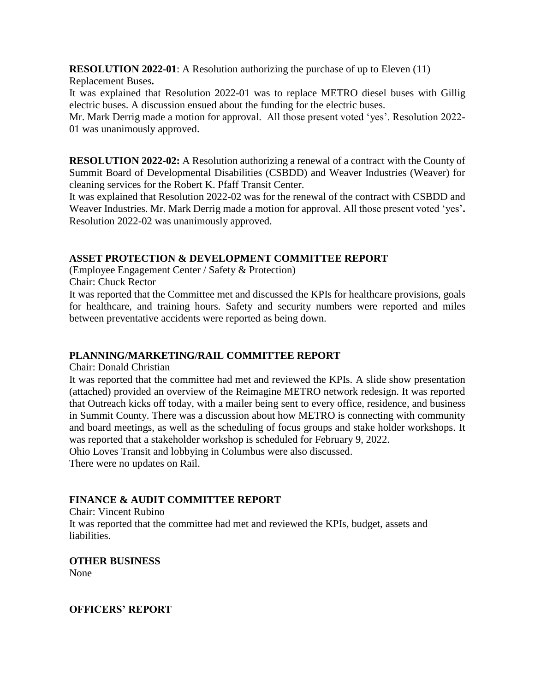**RESOLUTION 2022-01**: A Resolution authorizing the purchase of up to Eleven (11) Replacement Buses**.** 

It was explained that Resolution 2022-01 was to replace METRO diesel buses with Gillig electric buses. A discussion ensued about the funding for the electric buses.

Mr. Mark Derrig made a motion for approval. All those present voted 'yes'. Resolution 2022- 01 was unanimously approved.

**RESOLUTION 2022-02:** A Resolution authorizing a renewal of a contract with the County of Summit Board of Developmental Disabilities (CSBDD) and Weaver Industries (Weaver) for cleaning services for the Robert K. Pfaff Transit Center.

It was explained that Resolution 2022-02 was for the renewal of the contract with CSBDD and Weaver Industries. Mr. Mark Derrig made a motion for approval. All those present voted 'yes'**.**  Resolution 2022-02 was unanimously approved.

### **ASSET PROTECTION & DEVELOPMENT COMMITTEE REPORT**

(Employee Engagement Center / Safety & Protection)

Chair: Chuck Rector

It was reported that the Committee met and discussed the KPIs for healthcare provisions, goals for healthcare, and training hours. Safety and security numbers were reported and miles between preventative accidents were reported as being down.

### **PLANNING/MARKETING/RAIL COMMITTEE REPORT**

Chair: Donald Christian

It was reported that the committee had met and reviewed the KPIs. A slide show presentation (attached) provided an overview of the Reimagine METRO network redesign. It was reported that Outreach kicks off today, with a mailer being sent to every office, residence, and business in Summit County. There was a discussion about how METRO is connecting with community and board meetings, as well as the scheduling of focus groups and stake holder workshops. It was reported that a stakeholder workshop is scheduled for February 9, 2022. Ohio Loves Transit and lobbying in Columbus were also discussed.

There were no updates on Rail.

# **FINANCE & AUDIT COMMITTEE REPORT**

Chair: Vincent Rubino It was reported that the committee had met and reviewed the KPIs, budget, assets and liabilities.

**OTHER BUSINESS** None

**OFFICERS' REPORT**